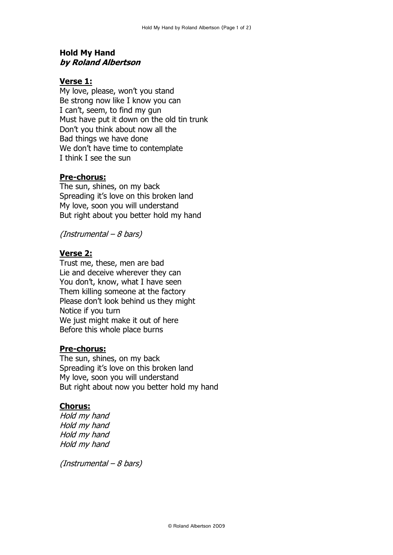# **Hold My Hand by Roland Albertson**

## **Verse 1:**

My love, please, won't you stand Be strong now like I know you can I can't, seem, to find my gun Must have put it down on the old tin trunk Don't you think about now all the Bad things we have done We don't have time to contemplate I think I see the sun

## **Pre-chorus:**

The sun, shines, on my back Spreading it's love on this broken land My love, soon you will understand But right about you better hold my hand

(Instrumental – 8 bars)

## **Verse 2:**

Trust me, these, men are bad Lie and deceive wherever they can You don't, know, what I have seen Them killing someone at the factory Please don't look behind us they might Notice if you turn We just might make it out of here Before this whole place burns

#### **Pre-chorus:**

The sun, shines, on my back Spreading it's love on this broken land My love, soon you will understand But right about now you better hold my hand

#### **Chorus:**

Hold my hand Hold my hand Hold my hand Hold my hand

(Instrumental – 8 bars)